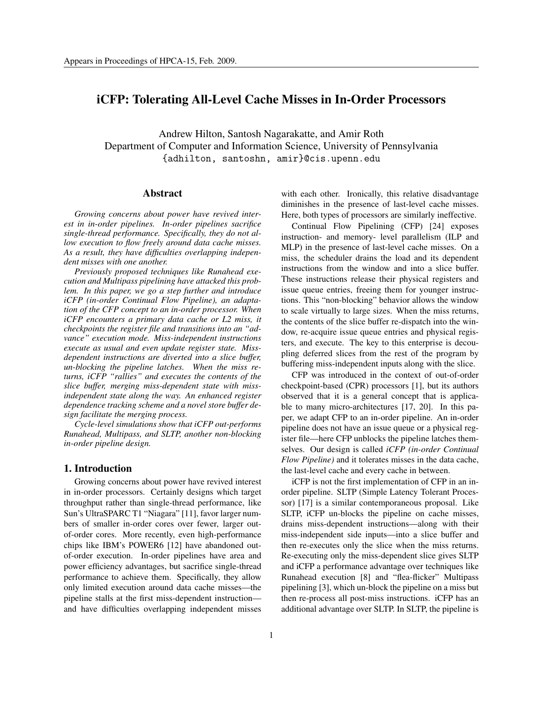# iCFP: Tolerating All-Level Cache Misses in In-Order Processors

Andrew Hilton, Santosh Nagarakatte, and Amir Roth Department of Computer and Information Science, University of Pennsylvania {adhilton, santoshn, amir}@cis.upenn.edu

### Abstract

*Growing concerns about power have revived interest in in-order pipelines. In-order pipelines sacrifice single-thread performance. Specifically, they do not allow execution to flow freely around data cache misses. As a result, they have difficulties overlapping independent misses with one another.*

*Previously proposed techniques like Runahead execution and Multipass pipelining have attacked this problem. In this paper, we go a step further and introduce iCFP (in-order Continual Flow Pipeline), an adaptation of the CFP concept to an in-order processor. When iCFP encounters a primary data cache or L2 miss, it checkpoints the register file and transitions into an "advance" execution mode. Miss-independent instructions execute as usual and even update register state. Missdependent instructions are diverted into a slice buffer, un-blocking the pipeline latches. When the miss returns, iCFP "rallies" and executes the contents of the slice buffer, merging miss-dependent state with missindependent state along the way. An enhanced register dependence tracking scheme and a novel store buffer design facilitate the merging process.*

*Cycle-level simulations show that iCFP out-performs Runahead, Multipass, and SLTP, another non-blocking in-order pipeline design.*

### 1. Introduction

Growing concerns about power have revived interest in in-order processors. Certainly designs which target throughput rather than single-thread performance, like Sun's UltraSPARC T1 "Niagara" [11], favor larger numbers of smaller in-order cores over fewer, larger outof-order cores. More recently, even high-performance chips like IBM's POWER6 [12] have abandoned outof-order execution. In-order pipelines have area and power efficiency advantages, but sacrifice single-thread performance to achieve them. Specifically, they allow only limited execution around data cache misses—the pipeline stalls at the first miss-dependent instruction and have difficulties overlapping independent misses with each other. Ironically, this relative disadvantage diminishes in the presence of last-level cache misses. Here, both types of processors are similarly ineffective.

Continual Flow Pipelining (CFP) [24] exposes instruction- and memory- level parallelism (ILP and MLP) in the presence of last-level cache misses. On a miss, the scheduler drains the load and its dependent instructions from the window and into a slice buffer. These instructions release their physical registers and issue queue entries, freeing them for younger instructions. This "non-blocking" behavior allows the window to scale virtually to large sizes. When the miss returns, the contents of the slice buffer re-dispatch into the window, re-acquire issue queue entries and physical registers, and execute. The key to this enterprise is decoupling deferred slices from the rest of the program by buffering miss-independent inputs along with the slice.

CFP was introduced in the context of out-of-order checkpoint-based (CPR) processors [1], but its authors observed that it is a general concept that is applicable to many micro-architectures [17, 20]. In this paper, we adapt CFP to an in-order pipeline. An in-order pipeline does not have an issue queue or a physical register file—here CFP unblocks the pipeline latches themselves. Our design is called *iCFP (in-order Continual Flow Pipeline)* and it tolerates misses in the data cache, the last-level cache and every cache in between.

iCFP is not the first implementation of CFP in an inorder pipeline. SLTP (Simple Latency Tolerant Processor) [17] is a similar contemporaneous proposal. Like SLTP, iCFP un-blocks the pipeline on cache misses, drains miss-dependent instructions—along with their miss-independent side inputs—into a slice buffer and then re-executes only the slice when the miss returns. Re-executing only the miss-dependent slice gives SLTP and iCFP a performance advantage over techniques like Runahead execution [8] and "flea-flicker" Multipass pipelining [3], which un-block the pipeline on a miss but then re-process all post-miss instructions. iCFP has an additional advantage over SLTP. In SLTP, the pipeline is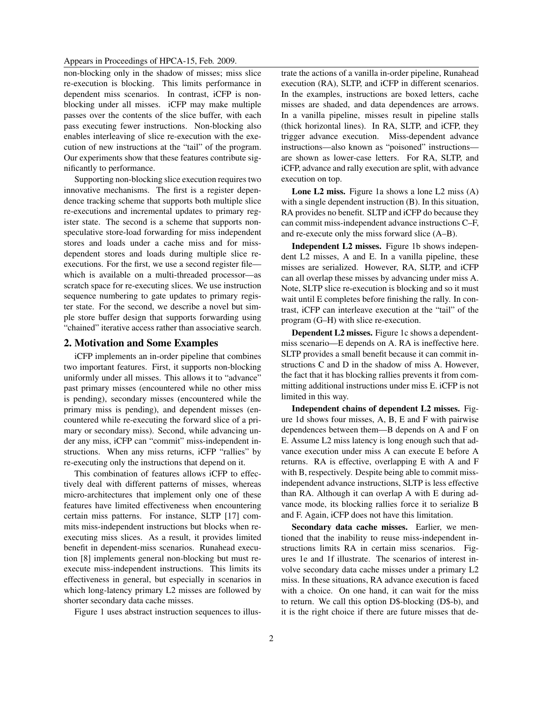non-blocking only in the shadow of misses; miss slice re-execution is blocking. This limits performance in dependent miss scenarios. In contrast, iCFP is nonblocking under all misses. iCFP may make multiple passes over the contents of the slice buffer, with each pass executing fewer instructions. Non-blocking also enables interleaving of slice re-execution with the execution of new instructions at the "tail" of the program. Our experiments show that these features contribute significantly to performance.

Supporting non-blocking slice execution requires two innovative mechanisms. The first is a register dependence tracking scheme that supports both multiple slice re-executions and incremental updates to primary register state. The second is a scheme that supports nonspeculative store-load forwarding for miss independent stores and loads under a cache miss and for missdependent stores and loads during multiple slice reexecutions. For the first, we use a second register file which is available on a multi-threaded processor—as scratch space for re-executing slices. We use instruction sequence numbering to gate updates to primary register state. For the second, we describe a novel but simple store buffer design that supports forwarding using "chained" iterative access rather than associative search.

### 2. Motivation and Some Examples

iCFP implements an in-order pipeline that combines two important features. First, it supports non-blocking uniformly under all misses. This allows it to "advance" past primary misses (encountered while no other miss is pending), secondary misses (encountered while the primary miss is pending), and dependent misses (encountered while re-executing the forward slice of a primary or secondary miss). Second, while advancing under any miss, iCFP can "commit" miss-independent instructions. When any miss returns, iCFP "rallies" by re-executing only the instructions that depend on it.

This combination of features allows iCFP to effectively deal with different patterns of misses, whereas micro-architectures that implement only one of these features have limited effectiveness when encountering certain miss patterns. For instance, SLTP [17] commits miss-independent instructions but blocks when reexecuting miss slices. As a result, it provides limited benefit in dependent-miss scenarios. Runahead execution [8] implements general non-blocking but must reexecute miss-independent instructions. This limits its effectiveness in general, but especially in scenarios in which long-latency primary L2 misses are followed by shorter secondary data cache misses.

Figure 1 uses abstract instruction sequences to illus-

trate the actions of a vanilla in-order pipeline, Runahead execution (RA), SLTP, and iCFP in different scenarios. In the examples, instructions are boxed letters, cache misses are shaded, and data dependences are arrows. In a vanilla pipeline, misses result in pipeline stalls (thick horizontal lines). In RA, SLTP, and iCFP, they trigger advance execution. Miss-dependent advance instructions—also known as "poisoned" instructions are shown as lower-case letters. For RA, SLTP, and iCFP, advance and rally execution are split, with advance execution on top.

Lone L2 miss. Figure 1a shows a lone L2 miss (A) with a single dependent instruction (B). In this situation, RA provides no benefit. SLTP and iCFP do because they can commit miss-independent advance instructions C–F, and re-execute only the miss forward slice (A–B).

Independent L2 misses. Figure 1b shows independent L2 misses, A and E. In a vanilla pipeline, these misses are serialized. However, RA, SLTP, and iCFP can all overlap these misses by advancing under miss A. Note, SLTP slice re-execution is blocking and so it must wait until E completes before finishing the rally. In contrast, iCFP can interleave execution at the "tail" of the program (G–H) with slice re-execution.

Dependent L2 misses. Figure 1c shows a dependentmiss scenario—E depends on A. RA is ineffective here. SLTP provides a small benefit because it can commit instructions C and D in the shadow of miss A. However, the fact that it has blocking rallies prevents it from committing additional instructions under miss E. iCFP is not limited in this way.

Independent chains of dependent L2 misses. Figure 1d shows four misses, A, B, E and F with pairwise dependences between them—B depends on A and F on E. Assume L2 miss latency is long enough such that advance execution under miss A can execute E before A returns. RA is effective, overlapping E with A and F with B, respectively. Despite being able to commit missindependent advance instructions, SLTP is less effective than RA. Although it can overlap A with E during advance mode, its blocking rallies force it to serialize B and F. Again, iCFP does not have this limitation.

Secondary data cache misses. Earlier, we mentioned that the inability to reuse miss-independent instructions limits RA in certain miss scenarios. Figures 1e and 1f illustrate. The scenarios of interest involve secondary data cache misses under a primary L2 miss. In these situations, RA advance execution is faced with a choice. On one hand, it can wait for the miss to return. We call this option D\$-blocking (D\$-b), and it is the right choice if there are future misses that de-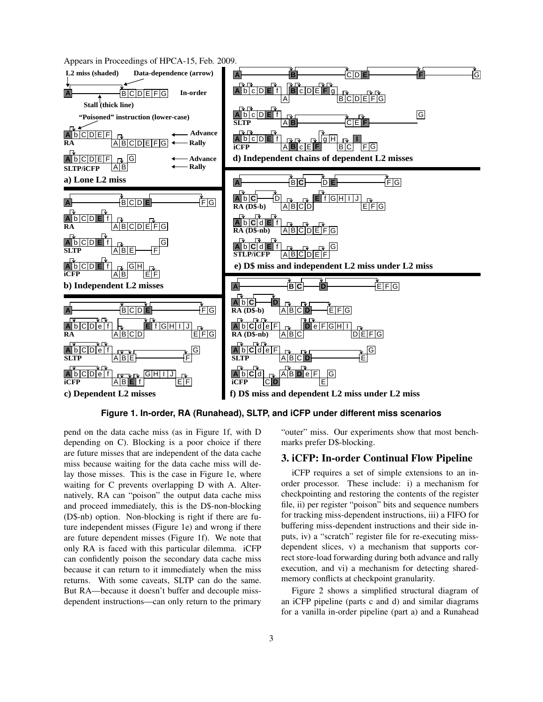Appears in Proceedings of HPCA-15, Feb. 2009.



**Figure 1. In-order, RA (Runahead), SLTP, and iCFP under different miss scenarios**

pend on the data cache miss (as in Figure 1f, with D depending on C). Blocking is a poor choice if there are future misses that are independent of the data cache miss because waiting for the data cache miss will delay those misses. This is the case in Figure 1e, where waiting for C prevents overlapping D with A. Alternatively, RA can "poison" the output data cache miss and proceed immediately, this is the D\$-non-blocking (D\$-nb) option. Non-blocking is right if there are future independent misses (Figure 1e) and wrong if there are future dependent misses (Figure 1f). We note that only RA is faced with this particular dilemma. iCFP can confidently poison the secondary data cache miss because it can return to it immediately when the miss returns. With some caveats, SLTP can do the same. But RA—because it doesn't buffer and decouple missdependent instructions—can only return to the primary

"outer" miss. Our experiments show that most benchmarks prefer D\$-blocking.

### 3. iCFP: In-order Continual Flow Pipeline

iCFP requires a set of simple extensions to an inorder processor. These include: i) a mechanism for checkpointing and restoring the contents of the register file, ii) per register "poison" bits and sequence numbers for tracking miss-dependent instructions, iii) a FIFO for buffering miss-dependent instructions and their side inputs, iv) a "scratch" register file for re-executing missdependent slices, v) a mechanism that supports correct store-load forwarding during both advance and rally execution, and vi) a mechanism for detecting sharedmemory conflicts at checkpoint granularity.

Figure 2 shows a simplified structural diagram of an iCFP pipeline (parts c and d) and similar diagrams for a vanilla in-order pipeline (part a) and a Runahead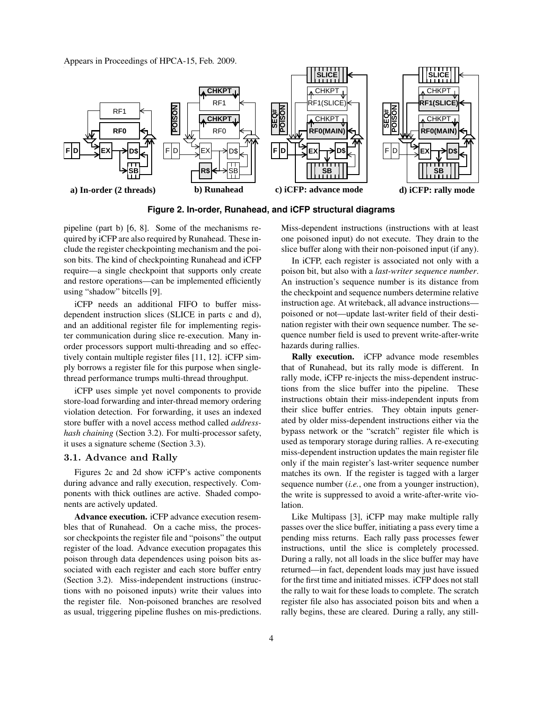

**Figure 2. In-order, Runahead, and iCFP structural diagrams**

pipeline (part b) [6, 8]. Some of the mechanisms required by iCFP are also required by Runahead. These include the register checkpointing mechanism and the poison bits. The kind of checkpointing Runahead and iCFP require—a single checkpoint that supports only create and restore operations—can be implemented efficiently using "shadow" bitcells [9].

iCFP needs an additional FIFO to buffer missdependent instruction slices (SLICE in parts c and d), and an additional register file for implementing register communication during slice re-execution. Many inorder processors support multi-threading and so effectively contain multiple register files [11, 12]. iCFP simply borrows a register file for this purpose when singlethread performance trumps multi-thread throughput.

iCFP uses simple yet novel components to provide store-load forwarding and inter-thread memory ordering violation detection. For forwarding, it uses an indexed store buffer with a novel access method called *addresshash chaining* (Section 3.2). For multi-processor safety, it uses a signature scheme (Section 3.3).

### 3.1. Advance and Rally

Figures 2c and 2d show iCFP's active components during advance and rally execution, respectively. Components with thick outlines are active. Shaded components are actively updated.

Advance execution. iCFP advance execution resembles that of Runahead. On a cache miss, the processor checkpoints the register file and "poisons" the output register of the load. Advance execution propagates this poison through data dependences using poison bits associated with each register and each store buffer entry (Section 3.2). Miss-independent instructions (instructions with no poisoned inputs) write their values into the register file. Non-poisoned branches are resolved as usual, triggering pipeline flushes on mis-predictions.

Miss-dependent instructions (instructions with at least one poisoned input) do not execute. They drain to the slice buffer along with their non-poisoned input (if any).

In iCFP, each register is associated not only with a poison bit, but also with a *last-writer sequence number*. An instruction's sequence number is its distance from the checkpoint and sequence numbers determine relative instruction age. At writeback, all advance instructions poisoned or not—update last-writer field of their destination register with their own sequence number. The sequence number field is used to prevent write-after-write hazards during rallies.

Rally execution. iCFP advance mode resembles that of Runahead, but its rally mode is different. In rally mode, iCFP re-injects the miss-dependent instructions from the slice buffer into the pipeline. These instructions obtain their miss-independent inputs from their slice buffer entries. They obtain inputs generated by older miss-dependent instructions either via the bypass network or the "scratch" register file which is used as temporary storage during rallies. A re-executing miss-dependent instruction updates the main register file only if the main register's last-writer sequence number matches its own. If the register is tagged with a larger sequence number (*i.e.*, one from a younger instruction), the write is suppressed to avoid a write-after-write violation.

rally begins, these are cleared. During a rally, any still-Like Multipass [3], iCFP may make multiple rally passes over the slice buffer, initiating a pass every time a pending miss returns. Each rally pass processes fewer instructions, until the slice is completely processed. During a rally, not all loads in the slice buffer may have returned—in fact, dependent loads may just have issued for the first time and initiated misses. iCFP does not stall the rally to wait for these loads to complete. The scratch register file also has associated poison bits and when a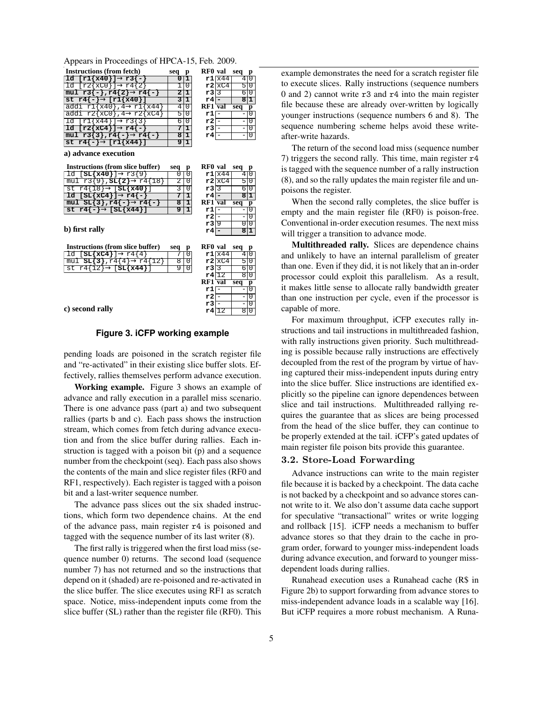Appears in Proceedings of HPCA-15, Feb. 2009.

| <b>Instructions (from fetch)</b>           | sea | RF0 val   |                | seq | р |
|--------------------------------------------|-----|-----------|----------------|-----|---|
| $1d$ [r1{x40}] $\rightarrow$ r3{-          |     |           | r1[x44         |     |   |
| $[r2\}xC0$ $]\rightarrow r4$ $2$           |     |           | $r2\sqrt{xC4}$ |     |   |
| mul $r3{-}r4{2} \rightarrow r4{-}$         |     | r31       |                |     |   |
| st $r4(-) \rightarrow [r1\{x40\}]$         |     | r4        |                |     |   |
| addi $r1\{x40\}$ , $4 \rightarrow r1\{x44$ |     | $RF1$ val |                | seq | Ŋ |
| addi $r2\{xC0\}$ , $4 \rightarrow r2\{xC4$ |     |           |                |     |   |
| $ld [r1\}x44] \rightarrow r333$            | b   | r2        |                |     |   |
| 1d $[r2\{xC4\}] \rightarrow r4\}$ -        |     | r3        |                |     |   |
| $mu1 r333; r43 -$<br>$r4$ { -              |     | r4        |                |     |   |
| $st$ $r4(-)$<br>$\rightarrow$ [r1 \x44     |     |           |                |     |   |

#### **a) advance execution**

| Instructions (from slice buffer)               | sea |  |
|------------------------------------------------|-----|--|
| $Id$ [SL $\{x40\}$ ] $\rightarrow$ r3{9}       |     |  |
| $mul$ $r3\{9\}$ , $SL\{2\} \rightarrow r4\{18$ |     |  |
| st $r4\{18\} \rightarrow$ [SL $\{x40\}$        |     |  |
| 1d $[sL\{xC4\}] \rightarrow r4$ -              |     |  |
| mul $SL(3), r4(-) \rightarrow r4$              |     |  |
| st $r4\{-\}\rightarrow$ [SL{x44}]              |     |  |

**b) first rally**

| Instructions (from slice buffer)          | sea | R |
|-------------------------------------------|-----|---|
| $\lceil$ ld [SL{xC4}] $\rightarrow$ r4{4} |     |   |
| $mult$ $SL\{3\}, r4\{4\} \rightarrow r4$  |     |   |
| st $r4\{12\} \rightarrow [SL\{x44\}]$     |     |   |
|                                           |     |   |
|                                           |     |   |

|         | $r2$ $\overline{xC4}$ | 5   | Λ |
|---------|-----------------------|-----|---|
| r3      | 3                     | 6   |   |
| r4      |                       | 8   |   |
| RF1     | vя                    | sec | p |
| r1      |                       |     |   |
| r2      |                       |     | 0 |
| r3      | q                     | C   |   |
|         |                       |     |   |
| r4      |                       | 8   |   |
|         |                       |     |   |
|         |                       |     |   |
| RF0 val |                       | sea | р |
|         | r1 x44                | 4   |   |
|         | $r2\sqrt{xC4}$        | 5   | 0 |
| r3      | ٦                     | 6   | í |
| r4      | .2                    | 8   |   |

**r**3 - 1 -0

**r1** - -0 **r2** - -0

**RF0 val seq p**  $r1$   $\overline{\text{x}44}$ 

**c**) second rally

#### **Figure 3. iCFP working example**

pending loads are poisoned in the scratch register file and "re-activated" in their existing slice buffer slots. Effectively, rallies themselves perform advance execution.

Working example. Figure 3 shows an example of advance and rally execution in a parallel miss scenario. There is one advance pass (part a) and two subsequent rallies (parts b and c). Each pass shows the instruction stream, which comes from fetch during advance execution and from the slice buffer during rallies. Each instruction is tagged with a poison bit (p) and a sequence number from the checkpoint (seq). Each pass also shows the contents of the main and slice register files (RF0 and RF1, respectively). Each register is tagged with a poison bit and a last-writer sequence number.

The advance pass slices out the six shaded instructions, which form two dependence chains. At the end of the advance pass, main register r4 is poisoned and tagged with the sequence number of its last writer (8).

The first rally is triggered when the first load miss (sequence number 0) returns. The second load (sequence number 7) has not returned and so the instructions that depend on it (shaded) are re-poisoned and re-activated in the slice buffer. The slice executes using RF1 as scratch space. Notice, miss-independent inputs come from the slice buffer (SL) rather than the register file (RF0). This example demonstrates the need for a scratch register file to execute slices. Rally instructions (sequence numbers 0 and 2) cannot write r3 and r4 into the main register file because these are already over-written by logically younger instructions (sequence numbers 6 and 8). The sequence numbering scheme helps avoid these writeafter-write hazards.

The return of the second load miss (sequence number 7) triggers the second rally. This time, main register r4 is tagged with the sequence number of a rally instruction (8), and so the rally updates the main register file and unpoisons the register.

When the second rally completes, the slice buffer is empty and the main register file (RF0) is poison-free. Conventional in-order execution resumes. The next miss will trigger a transition to advance mode.

Multithreaded rally. Slices are dependence chains and unlikely to have an internal parallelism of greater than one. Even if they did, it is not likely that an in-order processor could exploit this parallelism. As a result, it makes little sense to allocate rally bandwidth greater than one instruction per cycle, even if the processor is capable of more.

For maximum throughput, iCFP executes rally instructions and tail instructions in multithreaded fashion, with rally instructions given priority. Such multithreading is possible because rally instructions are effectively decoupled from the rest of the program by virtue of having captured their miss-independent inputs during entry into the slice buffer. Slice instructions are identified explicitly so the pipeline can ignore dependences between slice and tail instructions. Multithreaded rallying requires the guarantee that as slices are being processed from the head of the slice buffer, they can continue to be properly extended at the tail. iCFP's gated updates of main register file poison bits provide this guarantee.

### 3.2. Store-Load Forwarding

Advance instructions can write to the main register file because it is backed by a checkpoint. The data cache is not backed by a checkpoint and so advance stores cannot write to it. We also don't assume data cache support for speculative "transactional" writes or write logging and rollback [15]. iCFP needs a mechanism to buffer advance stores so that they drain to the cache in program order, forward to younger miss-independent loads during advance execution, and forward to younger missdependent loads during rallies.

Runahead execution uses a Runahead cache (R\$ in Figure 2b) to support forwarding from advance stores to miss-independent advance loads in a scalable way [16]. But iCFP requires a more robust mechanism. A Runa-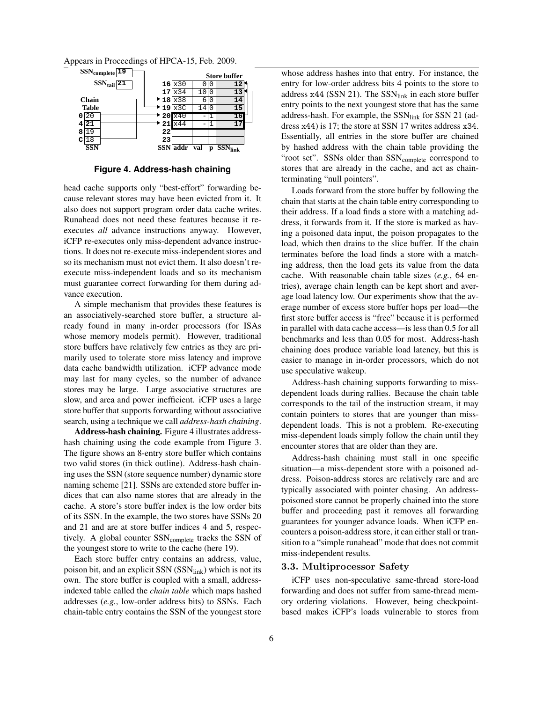Appears in Proceedings of HPCA-15, Feb. 2009.



**Figure 4. Address-hash chaining**

head cache supports only "best-effort" forwarding because relevant stores may have been evicted from it. It also does not support program order data cache writes. Runahead does not need these features because it reexecutes *all* advance instructions anyway. However, iCFP re-executes only miss-dependent advance instructions. It does not re-execute miss-independent stores and so its mechanism must not evict them. It also doesn't reexecute miss-independent loads and so its mechanism must guarantee correct forwarding for them during advance execution.

A simple mechanism that provides these features is an associatively-searched store buffer, a structure already found in many in-order processors (for ISAs whose memory models permit). However, traditional store buffers have relatively few entries as they are primarily used to tolerate store miss latency and improve data cache bandwidth utilization. iCFP advance mode may last for many cycles, so the number of advance stores may be large. Large associative structures are slow, and area and power inefficient. iCFP uses a large store buffer that supports forwarding without associative search, using a technique we call *address-hash chaining*.

Address-hash chaining. Figure 4 illustrates addresshash chaining using the code example from Figure 3. The figure shows an 8-entry store buffer which contains two valid stores (in thick outline). Address-hash chaining uses the SSN (store sequence number) dynamic store naming scheme [21]. SSNs are extended store buffer indices that can also name stores that are already in the cache. A store's store buffer index is the low order bits of its SSN. In the example, the two stores have SSNs 20 and 21 and are at store buffer indices 4 and 5, respectively. A global counter SSN<sub>complete</sub> tracks the SSN of the youngest store to write to the cache (here 19).

Each store buffer entry contains an address, value, poison bit, and an explicit SSN (SSN<sub>link</sub>) which is not its own. The store buffer is coupled with a small, addressindexed table called the *chain table* which maps hashed addresses (*e.g.*, low-order address bits) to SSNs. Each chain-table entry contains the SSN of the youngest store

whose address hashes into that entry. For instance, the entry for low-order address bits 4 points to the store to address  $x44$  (SSN 21). The SSN<sub>link</sub> in each store buffer entry points to the next youngest store that has the same address-hash. For example, the  $SSN<sub>link</sub>$  for SSN 21 (address x44) is 17; the store at SSN 17 writes address x34. Essentially, all entries in the store buffer are chained by hashed address with the chain table providing the "root set". SSNs older than SSN<sub>complete</sub> correspond to stores that are already in the cache, and act as chainterminating "null pointers".

Loads forward from the store buffer by following the chain that starts at the chain table entry corresponding to their address. If a load finds a store with a matching address, it forwards from it. If the store is marked as having a poisoned data input, the poison propagates to the load, which then drains to the slice buffer. If the chain terminates before the load finds a store with a matching address, then the load gets its value from the data cache. With reasonable chain table sizes (*e.g.*, 64 entries), average chain length can be kept short and average load latency low. Our experiments show that the average number of excess store buffer hops per load—the first store buffer access is "free" because it is performed in parallel with data cache access—is less than 0.5 for all benchmarks and less than 0.05 for most. Address-hash chaining does produce variable load latency, but this is easier to manage in in-order processors, which do not use speculative wakeup.

Address-hash chaining supports forwarding to missdependent loads during rallies. Because the chain table corresponds to the tail of the instruction stream, it may contain pointers to stores that are younger than missdependent loads. This is not a problem. Re-executing miss-dependent loads simply follow the chain until they encounter stores that are older than they are.

Address-hash chaining must stall in one specific situation—a miss-dependent store with a poisoned address. Poison-address stores are relatively rare and are typically associated with pointer chasing. An addresspoisoned store cannot be properly chained into the store buffer and proceeding past it removes all forwarding guarantees for younger advance loads. When iCFP encounters a poison-address store, it can either stall or transition to a "simple runahead" mode that does not commit miss-independent results.

### 3.3. Multiprocessor Safety

iCFP uses non-speculative same-thread store-load forwarding and does not suffer from same-thread memory ordering violations. However, being checkpointbased makes iCFP's loads vulnerable to stores from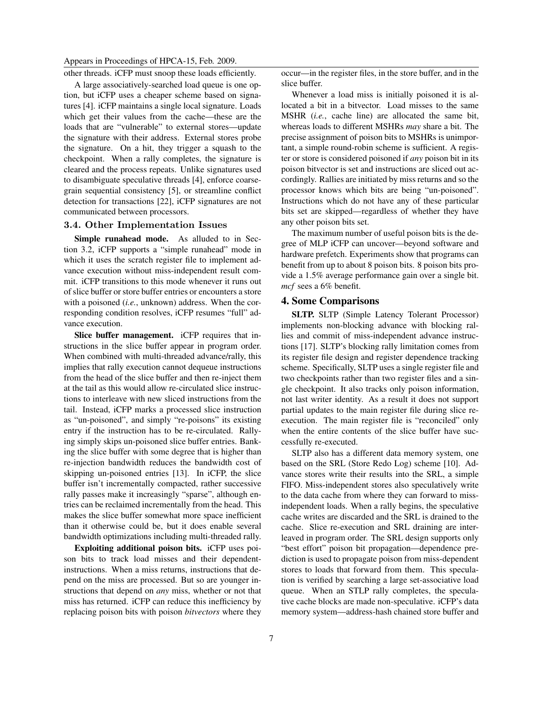other threads. iCFP must snoop these loads efficiently.

A large associatively-searched load queue is one option, but iCFP uses a cheaper scheme based on signatures [4]. iCFP maintains a single local signature. Loads which get their values from the cache—these are the loads that are "vulnerable" to external stores—update the signature with their address. External stores probe the signature. On a hit, they trigger a squash to the checkpoint. When a rally completes, the signature is cleared and the process repeats. Unlike signatures used to disambiguate speculative threads [4], enforce coarsegrain sequential consistency [5], or streamline conflict detection for transactions [22], iCFP signatures are not communicated between processors.

### 3.4. Other Implementation Issues

Simple runahead mode. As alluded to in Section 3.2, iCFP supports a "simple runahead" mode in which it uses the scratch register file to implement advance execution without miss-independent result commit. iCFP transitions to this mode whenever it runs out of slice buffer or store buffer entries or encounters a store with a poisoned (*i.e.*, unknown) address. When the corresponding condition resolves, iCFP resumes "full" advance execution.

Slice buffer management. iCFP requires that instructions in the slice buffer appear in program order. When combined with multi-threaded advance/rally, this implies that rally execution cannot dequeue instructions from the head of the slice buffer and then re-inject them at the tail as this would allow re-circulated slice instructions to interleave with new sliced instructions from the tail. Instead, iCFP marks a processed slice instruction as "un-poisoned", and simply "re-poisons" its existing entry if the instruction has to be re-circulated. Rallying simply skips un-poisoned slice buffer entries. Banking the slice buffer with some degree that is higher than re-injection bandwidth reduces the bandwidth cost of skipping un-poisoned entries [13]. In iCFP, the slice buffer isn't incrementally compacted, rather successive rally passes make it increasingly "sparse", although entries can be reclaimed incrementally from the head. This makes the slice buffer somewhat more space inefficient than it otherwise could be, but it does enable several bandwidth optimizations including multi-threaded rally.

Exploiting additional poison bits. iCFP uses poison bits to track load misses and their dependentinstructions. When a miss returns, instructions that depend on the miss are processed. But so are younger instructions that depend on *any* miss, whether or not that miss has returned. iCFP can reduce this inefficiency by replacing poison bits with poison *bitvectors* where they occur—in the register files, in the store buffer, and in the slice buffer.

Whenever a load miss is initially poisoned it is allocated a bit in a bitvector. Load misses to the same MSHR (*i.e.*, cache line) are allocated the same bit, whereas loads to different MSHRs *may* share a bit. The precise assignment of poison bits to MSHRs is unimportant, a simple round-robin scheme is sufficient. A register or store is considered poisoned if *any* poison bit in its poison bitvector is set and instructions are sliced out accordingly. Rallies are initiated by miss returns and so the processor knows which bits are being "un-poisoned". Instructions which do not have any of these particular bits set are skipped—regardless of whether they have any other poison bits set.

The maximum number of useful poison bits is the degree of MLP iCFP can uncover—beyond software and hardware prefetch. Experiments show that programs can benefit from up to about 8 poison bits. 8 poison bits provide a 1.5% average performance gain over a single bit. *mcf* sees a 6% benefit.

### 4. Some Comparisons

SLTP. SLTP (Simple Latency Tolerant Processor) implements non-blocking advance with blocking rallies and commit of miss-independent advance instructions [17]. SLTP's blocking rally limitation comes from its register file design and register dependence tracking scheme. Specifically, SLTP uses a single register file and two checkpoints rather than two register files and a single checkpoint. It also tracks only poison information, not last writer identity. As a result it does not support partial updates to the main register file during slice reexecution. The main register file is "reconciled" only when the entire contents of the slice buffer have successfully re-executed.

SLTP also has a different data memory system, one based on the SRL (Store Redo Log) scheme [10]. Advance stores write their results into the SRL, a simple FIFO. Miss-independent stores also speculatively write to the data cache from where they can forward to missindependent loads. When a rally begins, the speculative cache writes are discarded and the SRL is drained to the cache. Slice re-execution and SRL draining are interleaved in program order. The SRL design supports only "best effort" poison bit propagation—dependence prediction is used to propagate poison from miss-dependent stores to loads that forward from them. This speculation is verified by searching a large set-associative load queue. When an STLP rally completes, the speculative cache blocks are made non-speculative. iCFP's data memory system—address-hash chained store buffer and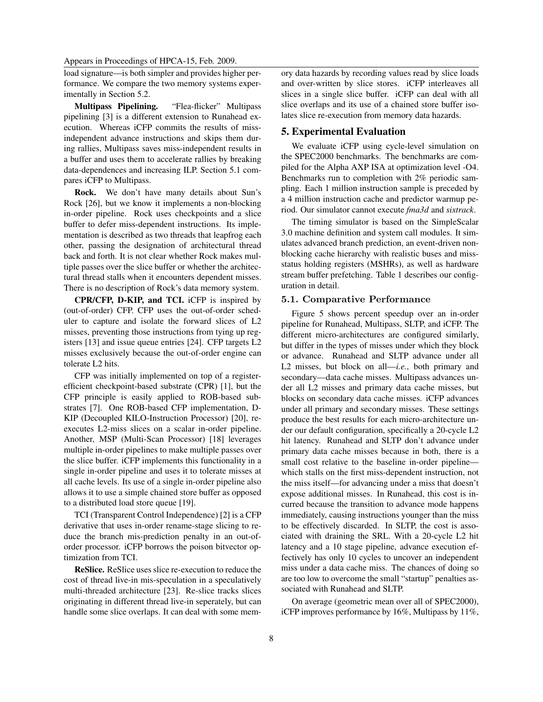load signature—is both simpler and provides higher performance. We compare the two memory systems experimentally in Section 5.2.

Multipass Pipelining. "Flea-flicker" Multipass pipelining [3] is a different extension to Runahead execution. Whereas iCFP commits the results of missindependent advance instructions and skips them during rallies, Multipass saves miss-independent results in a buffer and uses them to accelerate rallies by breaking data-dependences and increasing ILP. Section 5.1 compares iCFP to Multipass.

Rock. We don't have many details about Sun's Rock [26], but we know it implements a non-blocking in-order pipeline. Rock uses checkpoints and a slice buffer to defer miss-dependent instructions. Its implementation is described as two threads that leapfrog each other, passing the designation of architectural thread back and forth. It is not clear whether Rock makes multiple passes over the slice buffer or whether the architectural thread stalls when it encounters dependent misses. There is no description of Rock's data memory system.

CPR/CFP, D-KIP, and TCI. iCFP is inspired by (out-of-order) CFP. CFP uses the out-of-order scheduler to capture and isolate the forward slices of L2 misses, preventing those instructions from tying up registers [13] and issue queue entries [24]. CFP targets L2 misses exclusively because the out-of-order engine can tolerate L2 hits.

CFP was initially implemented on top of a registerefficient checkpoint-based substrate (CPR) [1], but the CFP principle is easily applied to ROB-based substrates [7]. One ROB-based CFP implementation, D-KIP (Decoupled KILO-Instruction Processor) [20], reexecutes L2-miss slices on a scalar in-order pipeline. Another, MSP (Multi-Scan Processor) [18] leverages multiple in-order pipelines to make multiple passes over the slice buffer. iCFP implements this functionality in a single in-order pipeline and uses it to tolerate misses at all cache levels. Its use of a single in-order pipeline also allows it to use a simple chained store buffer as opposed to a distributed load store queue [19].

TCI (Transparent Control Independence) [2] is a CFP derivative that uses in-order rename-stage slicing to reduce the branch mis-prediction penalty in an out-oforder processor. iCFP borrows the poison bitvector optimization from TCI.

ReSlice. ReSlice uses slice re-execution to reduce the cost of thread live-in mis-speculation in a speculatively multi-threaded architecture [23]. Re-slice tracks slices originating in different thread live-in seperately, but can handle some slice overlaps. It can deal with some memory data hazards by recording values read by slice loads and over-written by slice stores. iCFP interleaves all slices in a single slice buffer. iCFP can deal with all slice overlaps and its use of a chained store buffer isolates slice re-execution from memory data hazards.

### 5. Experimental Evaluation

We evaluate iCFP using cycle-level simulation on the SPEC2000 benchmarks. The benchmarks are compiled for the Alpha AXP ISA at optimization level -O4. Benchmarks run to completion with 2% periodic sampling. Each 1 million instruction sample is preceded by a 4 million instruction cache and predictor warmup period. Our simulator cannot execute *fma3d* and *sixtrack*.

The timing simulator is based on the SimpleScalar 3.0 machine definition and system call modules. It simulates advanced branch prediction, an event-driven nonblocking cache hierarchy with realistic buses and missstatus holding registers (MSHRs), as well as hardware stream buffer prefetching. Table 1 describes our configuration in detail.

### 5.1. Comparative Performance

Figure 5 shows percent speedup over an in-order pipeline for Runahead, Multipass, SLTP, and iCFP. The different micro-architectures are configured similarly, but differ in the types of misses under which they block or advance. Runahead and SLTP advance under all L2 misses, but block on all—*i.e.*, both primary and secondary—data cache misses. Multipass advances under all L2 misses and primary data cache misses, but blocks on secondary data cache misses. iCFP advances under all primary and secondary misses. These settings produce the best results for each micro-architecture under our default configuration, specifically a 20-cycle L2 hit latency. Runahead and SLTP don't advance under primary data cache misses because in both, there is a small cost relative to the baseline in-order pipeline which stalls on the first miss-dependent instruction, not the miss itself—for advancing under a miss that doesn't expose additional misses. In Runahead, this cost is incurred because the transition to advance mode happens immediately, causing instructions younger than the miss to be effectively discarded. In SLTP, the cost is associated with draining the SRL. With a 20-cycle L2 hit latency and a 10 stage pipeline, advance execution effectively has only 10 cycles to uncover an independent miss under a data cache miss. The chances of doing so are too low to overcome the small "startup" penalties associated with Runahead and SLTP.

On average (geometric mean over all of SPEC2000), iCFP improves performance by 16%, Multipass by 11%,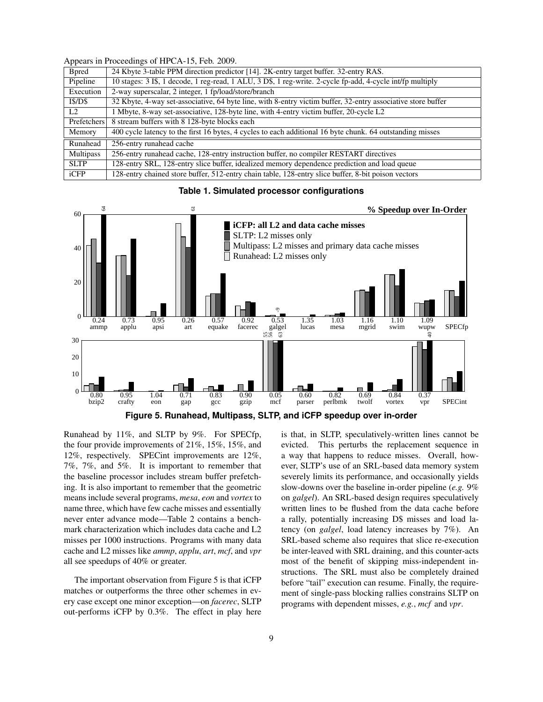| <b>B</b> pred    | 24 Kbyte 3-table PPM direction predictor [14]. 2K-entry target buffer. 32-entry RAS.                         |
|------------------|--------------------------------------------------------------------------------------------------------------|
| Pipeline         | 10 stages: 3 I\$, 1 decode, 1 reg-read, 1 ALU, 3 D\$, 1 reg-write. 2-cycle fp-add, 4-cycle int/fp multiply   |
| Execution        | 2-way superscalar, 2 integer, 1 fp/load/store/branch                                                         |
| IS/D\$           | 32 Kbyte, 4-way set-associative, 64 byte line, with 8-entry victim buffer, 32-entry associative store buffer |
| L2               | 1 Mbyte, 8-way set-associative, 128-byte line, with 4-entry victim buffer, 20-cycle L2                       |
| Prefetchers      | 8 stream buffers with 8 128-byte blocks each                                                                 |
| Memory           | 400 cycle latency to the first 16 bytes, 4 cycles to each additional 16 byte chunk. 64 outstanding misses    |
| Runahead         | 256-entry runahead cache                                                                                     |
| <b>Multipass</b> | 256-entry runahead cache, 128-entry instruction buffer, no compiler RESTART directives                       |
| <b>SLTP</b>      | 128-entry SRL, 128-entry slice buffer, idealized memory dependence prediction and load queue                 |
| iCFP             | 128-entry chained store buffer, 512-entry chain table, 128-entry slice buffer, 8-bit poison vectors          |

**Table 1. Simulated processor configurations**



Runahead by 11%, and SLTP by 9%. For SPECfp, the four provide improvements of 21%, 15%, 15%, and 12%, respectively. SPECint improvements are 12%, 7%, 7%, and 5%. It is important to remember that the baseline processor includes stream buffer prefetching. It is also important to remember that the geometric means include several programs, *mesa*, *eon* and *vortex* to name three, which have few cache misses and essentially never enter advance mode—Table 2 contains a benchmark characterization which includes data cache and L2 misses per 1000 instructions. Programs with many data cache and L2 misses like *ammp*, *applu*, *art*, *mcf*, and *vpr* all see speedups of 40% or greater.

The important observation from Figure 5 is that iCFP matches or outperforms the three other schemes in every case except one minor exception—on *facerec*, SLTP out-performs iCFP by 0.3%. The effect in play here

is that, in SLTP, speculatively-written lines cannot be evicted. This perturbs the replacement sequence in a way that happens to reduce misses. Overall, however, SLTP's use of an SRL-based data memory system severely limits its performance, and occasionally yields slow-downs over the baseline in-order pipeline (*e.g.* 9% on *galgel*). An SRL-based design requires speculatively written lines to be flushed from the data cache before a rally, potentially increasing D\$ misses and load latency (on *galgel*, load latency increases by 7%). An SRL-based scheme also requires that slice re-execution be inter-leaved with SRL draining, and this counter-acts most of the benefit of skipping miss-independent instructions. The SRL must also be completely drained before "tail" execution can resume. Finally, the requirement of single-pass blocking rallies constrains SLTP on programs with dependent misses, *e.g.*, *mcf* and *vpr*.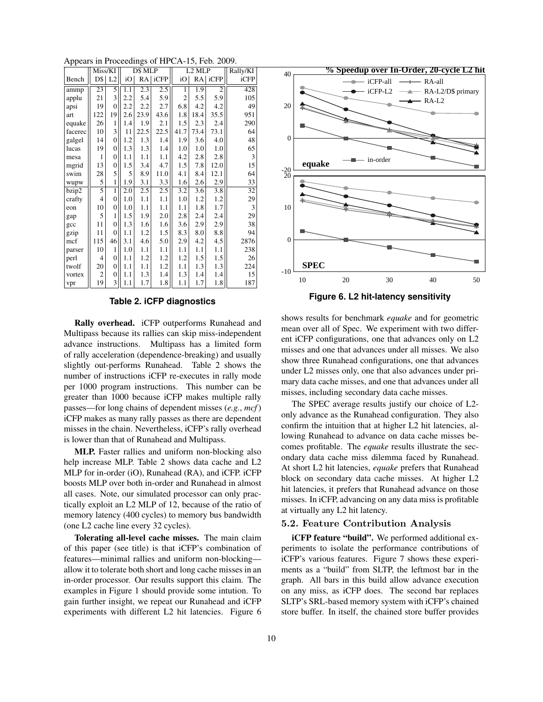Appears in Proceedings of HPCA-15, Feb. 2009.

|         | Miss/KI        |                  |     | D\$ MLP |      |                | L2 MLP | Rally/KI         |      |
|---------|----------------|------------------|-----|---------|------|----------------|--------|------------------|------|
| Bench   | D\$            | L2               | 10  | RA      | iCFP | 10             |        | RA iCFP          | iCFP |
| ammp    | 23             | 5                | 1.1 | 2.3     | 2.5  | 1              | 1.9    | $\boldsymbol{2}$ | 428  |
| applu   | 21             | 3                | 2.2 | 5.4     | 5.9  | $\overline{c}$ | 5.5    | 5.9              | 105  |
| apsi    | 19             | $\mathbf{0}$     | 2.2 | 2.2     | 2.7  | 6.8            | 4.2    | 4.2              | 49   |
| art     | 122            | 19               | 2.6 | 23.9    | 43.6 | 1.8            | 18.4   | 35.5             | 951  |
| equake  | 26             | $\mathbf{1}$     | 1.4 | 1.9     | 2.1  | 1.5            | 2.3    | 2.4              | 290  |
| facerec | 10             | 3                | 11  | 22.5    | 22.5 | 41.7           | 73.4   | 73.1             | 64   |
| galgel  | 14             | $\mathbf{0}$     | 1.2 | 1.3     | 1.4  | 1.9            | 3.6    | 4.0              | 48   |
| lucas   | 19             | $\boldsymbol{0}$ | 1.3 | 1.3     | 1.4  | 1.0            | 1.0    | 1.0              | 65   |
| mesa    | 1              | $\mathbf{0}$     | 1.1 | 1.1     | 1.1  | 4.2            | 2.8    | 2.8              | 3    |
| mgrid   | 13             | $\boldsymbol{0}$ | 1.5 | 3.4     | 4.7  | 1.5            | 7.8    | 12.0             | 15   |
| swim    | 28             | 5                | 5   | 8.9     | 11.0 | 4.1            | 8.4    | 12.1             | 64   |
| wupw    | 5              | $\mathbf{1}$     | 1.9 | 3.1     | 3.3  | 1.6            | 2.6    | 2.9              | 33   |
| bzip2   | $\overline{5}$ | $\overline{1}$   | 2.0 | 2.5     | 2.5  | 3.2            | 3.6    | 3.8              | 32   |
| crafty  | $\overline{4}$ | $\mathbf{0}$     | 1.0 | 1.1     | 1.1  | 1.0            | 1.2    | 1.2              | 29   |
| eon     | 10             | $\overline{0}$   | 1.0 | 1.1     | 1.1  | 1.1            | 1.8    | 1.7              | 3    |
| gap     | 5              | $\mathbf{1}$     | 1.5 | 1.9     | 2.0  | 2.8            | 2.4    | 2.4              | 29   |
| gcc     | 11             | $\mathbf{0}$     | 1.3 | 1.6     | 1.6  | 3.6            | 2.9    | 2.9              | 38   |
| gzip    | 11             | $\mathbf{0}$     | 1.1 | 1.2     | 1.5  | 8.3            | 8.0    | 8.8              | 94   |
| mcf     | 115            | 46               | 3.1 | 4.6     | 5.0  | 2.9            | 4.2    | 4.5              | 2876 |
| parser  | 10             | 1                | 1.0 | 1.1     | 1.1  | 1.1            | 1.1    | 1.1              | 238  |
| perl    | $\overline{4}$ | $\mathbf{0}$     | 1.1 | 1.2     | 1.2  | 1.2            | 1.5    | 1.5              | 26   |
| twolf   | 20             | $\mathbf{0}$     | 1.1 | 1.1     | 1.2  | 1.1            | 1.3    | 1.3              | 224  |
| vortex  | $\overline{2}$ | 0                | 1.1 | 1.3     | 1.4  | 1.3            | 1.4    | 1.4              | 15   |
| vpr     | 19             | 3                | 1.1 | 1.7     | 1.8  | 1.1            | 1.7    | 1.8              | 187  |

**Table 2. iCFP diagnostics**

Rally overhead. iCFP outperforms Runahead and Multipass because its rallies can skip miss-independent advance instructions. Multipass has a limited form of rally acceleration (dependence-breaking) and usually slightly out-performs Runahead. Table 2 shows the number of instructions iCFP re-executes in rally mode per 1000 program instructions. This number can be greater than 1000 because iCFP makes multiple rally passes—for long chains of dependent misses (*e.g.*, *mcf*) iCFP makes as many rally passes as there are dependent misses in the chain. Nevertheless, iCFP's rally overhead is lower than that of Runahead and Multipass.

MLP. Faster rallies and uniform non-blocking also help increase MLP. Table 2 shows data cache and L2 MLP for in-order (iO), Runahead (RA), and iCFP. iCFP boosts MLP over both in-order and Runahead in almost all cases. Note, our simulated processor can only practically exploit an L2 MLP of 12, because of the ratio of memory latency (400 cycles) to memory bus bandwidth (one L2 cache line every 32 cycles).

Tolerating all-level cache misses. The main claim of this paper (see title) is that iCFP's combination of features—minimal rallies and uniform non-blocking allow it to tolerate both short and long cache misses in an in-order processor. Our results support this claim. The examples in Figure 1 should provide some intution. To gain further insight, we repeat our Runahead and iCFP experiments with different L2 hit latencies. Figure 6



**Figure 6. L2 hit-latency sensitivity**

shows results for benchmark *equake* and for geometric mean over all of Spec. We experiment with two different iCFP configurations, one that advances only on L2 misses and one that advances under all misses. We also show three Runahead configurations, one that advances under L2 misses only, one that also advances under primary data cache misses, and one that advances under all misses, including secondary data cache misses.

The SPEC average results justify our choice of L2 only advance as the Runahead configuration. They also confirm the intuition that at higher L2 hit latencies, allowing Runahead to advance on data cache misses becomes profitable. The *equake* results illustrate the secondary data cache miss dilemma faced by Runahead. At short L2 hit latencies, *equake* prefers that Runahead block on secondary data cache misses. At higher L2 hit latencies, it prefers that Runahead advance on those misses. In iCFP, advancing on any data miss is profitable at virtually any L2 hit latency.

#### 5.2. Feature Contribution Analysis

iCFP feature "build". We performed additional experiments to isolate the performance contributions of iCFP's various features. Figure 7 shows these experiments as a "build" from SLTP, the leftmost bar in the graph. All bars in this build allow advance execution on any miss, as iCFP does. The second bar replaces SLTP's SRL-based memory system with iCFP's chained store buffer. In itself, the chained store buffer provides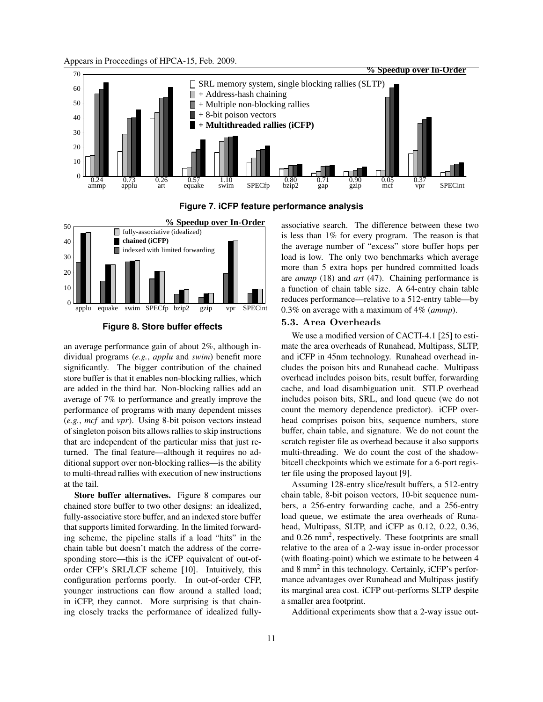Appears in Proceedings of HPCA-15, Feb. 2009.



**Figure 7. iCFP feature performance analysis**





an average performance gain of about 2%, although individual programs (*e.g.*, *applu* and *swim*) benefit more significantly. The bigger contribution of the chained store buffer is that it enables non-blocking rallies, which are added in the third bar. Non-blocking rallies add an average of 7% to performance and greatly improve the performance of programs with many dependent misses (*e.g.*, *mcf* and *vpr*). Using 8-bit poison vectors instead of singleton poison bits allows rallies to skip instructions that are independent of the particular miss that just returned. The final feature—although it requires no additional support over non-blocking rallies—is the ability to multi-thread rallies with execution of new instructions at the tail.

Store buffer alternatives. Figure 8 compares our chained store buffer to two other designs: an idealized, fully-associative store buffer, and an indexed store buffer that supports limited forwarding. In the limited forwarding scheme, the pipeline stalls if a load "hits" in the chain table but doesn't match the address of the corresponding store—this is the iCFP equivalent of out-oforder CFP's SRL/LCF scheme [10]. Intuitively, this configuration performs poorly. In out-of-order CFP, younger instructions can flow around a stalled load; in iCFP, they cannot. More surprising is that chaining closely tracks the performance of idealized fully-

associative search. The difference between these two is less than 1% for every program. The reason is that the average number of "excess" store buffer hops per load is low. The only two benchmarks which average more than 5 extra hops per hundred committed loads are *ammp* (18) and *art* (47). Chaining performance is a function of chain table size. A 64-entry chain table reduces performance—relative to a 512-entry table—by 0.3% on average with a maximum of 4% (*ammp*).

#### 5.3. Area Overheads

We use a modified version of CACTI-4.1 [25] to estimate the area overheads of Runahead, Multipass, SLTP, and iCFP in 45nm technology. Runahead overhead includes the poison bits and Runahead cache. Multipass overhead includes poison bits, result buffer, forwarding cache, and load disambiguation unit. STLP overhead includes poison bits, SRL, and load queue (we do not count the memory dependence predictor). iCFP overhead comprises poison bits, sequence numbers, store buffer, chain table, and signature. We do not count the scratch register file as overhead because it also supports multi-threading. We do count the cost of the shadowbitcell checkpoints which we estimate for a 6-port register file using the proposed layout [9].

Assuming 128-entry slice/result buffers, a 512-entry chain table, 8-bit poison vectors, 10-bit sequence numbers, a 256-entry forwarding cache, and a 256-entry load queue, we estimate the area overheads of Runahead, Multipass, SLTP, and iCFP as 0.12, 0.22, 0.36, and 0.26 mm<sup>2</sup>, respectively. These footprints are small relative to the area of a 2-way issue in-order processor (with floating-point) which we estimate to be between 4 and 8 mm<sup>2</sup> in this technology. Certainly, iCFP's performance advantages over Runahead and Multipass justify its marginal area cost. iCFP out-performs SLTP despite a smaller area footprint.

Additional experiments show that a 2-way issue out-